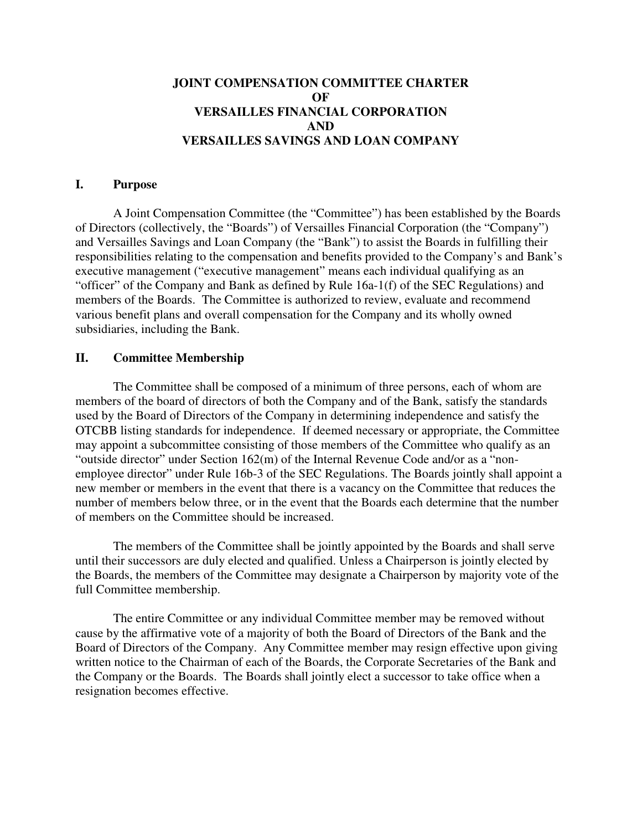# **JOINT COMPENSATION COMMITTEE CHARTER OF VERSAILLES FINANCIAL CORPORATION AND VERSAILLES SAVINGS AND LOAN COMPANY**

#### **I. Purpose**

A Joint Compensation Committee (the "Committee") has been established by the Boards of Directors (collectively, the "Boards") of Versailles Financial Corporation (the "Company") and Versailles Savings and Loan Company (the "Bank") to assist the Boards in fulfilling their responsibilities relating to the compensation and benefits provided to the Company's and Bank's executive management ("executive management" means each individual qualifying as an "officer" of the Company and Bank as defined by Rule 16a-1(f) of the SEC Regulations) and members of the Boards. The Committee is authorized to review, evaluate and recommend various benefit plans and overall compensation for the Company and its wholly owned subsidiaries, including the Bank.

# **II. Committee Membership**

The Committee shall be composed of a minimum of three persons, each of whom are members of the board of directors of both the Company and of the Bank, satisfy the standards used by the Board of Directors of the Company in determining independence and satisfy the OTCBB listing standards for independence. If deemed necessary or appropriate, the Committee may appoint a subcommittee consisting of those members of the Committee who qualify as an "outside director" under Section 162(m) of the Internal Revenue Code and/or as a "nonemployee director" under Rule 16b-3 of the SEC Regulations. The Boards jointly shall appoint a new member or members in the event that there is a vacancy on the Committee that reduces the number of members below three, or in the event that the Boards each determine that the number of members on the Committee should be increased.

The members of the Committee shall be jointly appointed by the Boards and shall serve until their successors are duly elected and qualified. Unless a Chairperson is jointly elected by the Boards, the members of the Committee may designate a Chairperson by majority vote of the full Committee membership.

The entire Committee or any individual Committee member may be removed without cause by the affirmative vote of a majority of both the Board of Directors of the Bank and the Board of Directors of the Company. Any Committee member may resign effective upon giving written notice to the Chairman of each of the Boards, the Corporate Secretaries of the Bank and the Company or the Boards. The Boards shall jointly elect a successor to take office when a resignation becomes effective.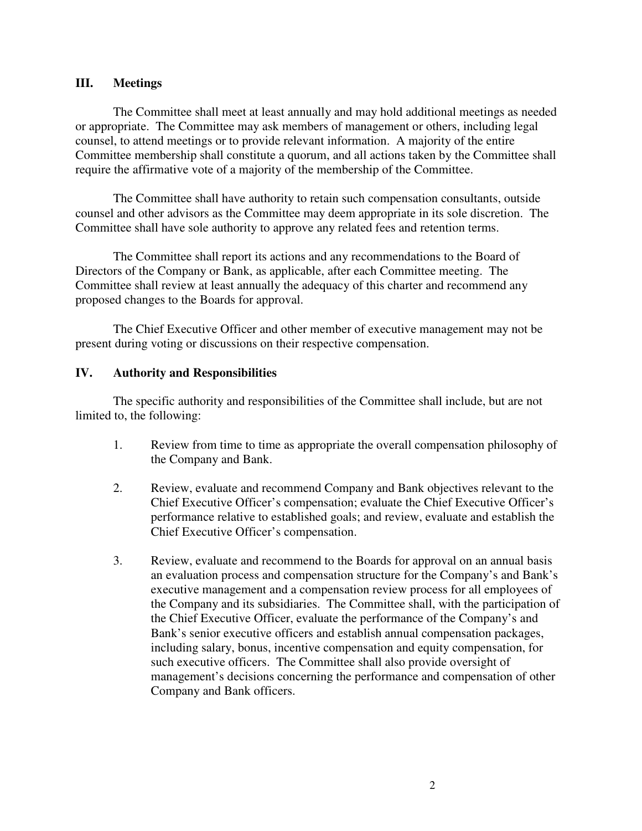# **III. Meetings**

The Committee shall meet at least annually and may hold additional meetings as needed or appropriate. The Committee may ask members of management or others, including legal counsel, to attend meetings or to provide relevant information. A majority of the entire Committee membership shall constitute a quorum, and all actions taken by the Committee shall require the affirmative vote of a majority of the membership of the Committee.

The Committee shall have authority to retain such compensation consultants, outside counsel and other advisors as the Committee may deem appropriate in its sole discretion. The Committee shall have sole authority to approve any related fees and retention terms.

The Committee shall report its actions and any recommendations to the Board of Directors of the Company or Bank, as applicable, after each Committee meeting. The Committee shall review at least annually the adequacy of this charter and recommend any proposed changes to the Boards for approval.

The Chief Executive Officer and other member of executive management may not be present during voting or discussions on their respective compensation.

# **IV. Authority and Responsibilities**

The specific authority and responsibilities of the Committee shall include, but are not limited to, the following:

- 1. Review from time to time as appropriate the overall compensation philosophy of the Company and Bank.
- 2. Review, evaluate and recommend Company and Bank objectives relevant to the Chief Executive Officer's compensation; evaluate the Chief Executive Officer's performance relative to established goals; and review, evaluate and establish the Chief Executive Officer's compensation.
- 3. Review, evaluate and recommend to the Boards for approval on an annual basis an evaluation process and compensation structure for the Company's and Bank's executive management and a compensation review process for all employees of the Company and its subsidiaries. The Committee shall, with the participation of the Chief Executive Officer, evaluate the performance of the Company's and Bank's senior executive officers and establish annual compensation packages, including salary, bonus, incentive compensation and equity compensation, for such executive officers. The Committee shall also provide oversight of management's decisions concerning the performance and compensation of other Company and Bank officers.